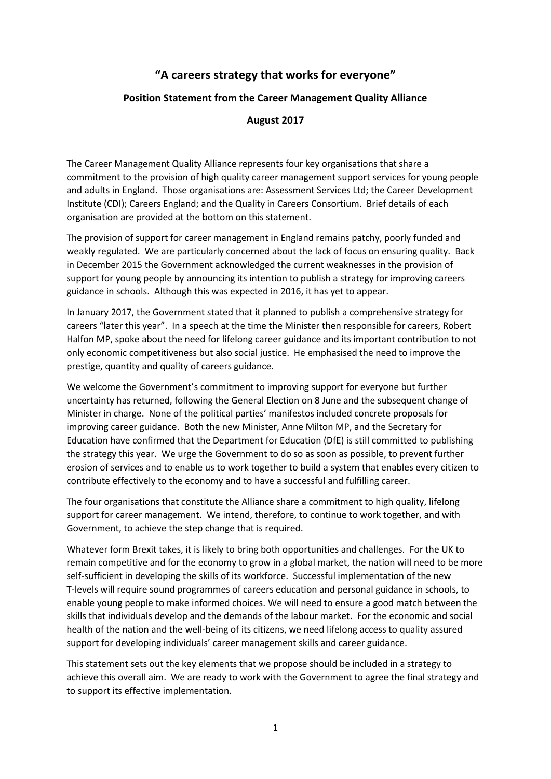## **"A careers strategy that works for everyone"**

## **Position Statement from the Career Management Quality Alliance**

## **August 2017**

The Career Management Quality Alliance represents four key organisations that share a commitment to the provision of high quality career management support services for young people and adults in England. Those organisations are: Assessment Services Ltd; the Career Development Institute (CDI); Careers England; and the Quality in Careers Consortium. Brief details of each organisation are provided at the bottom on this statement.

The provision of support for career management in England remains patchy, poorly funded and weakly regulated. We are particularly concerned about the lack of focus on ensuring quality. Back in December 2015 the Government acknowledged the current weaknesses in the provision of support for young people by announcing its intention to publish a strategy for improving careers guidance in schools. Although this was expected in 2016, it has yet to appear.

In January 2017, the Government stated that it planned to publish a comprehensive strategy for careers "later this year". In a speech at the time the Minister then responsible for careers, Robert Halfon MP, spoke about the need for lifelong career guidance and its important contribution to not only economic competitiveness but also social justice. He emphasised the need to improve the prestige, quantity and quality of careers guidance.

We welcome the Government's commitment to improving support for everyone but further uncertainty has returned, following the General Election on 8 June and the subsequent change of Minister in charge. None of the political parties' manifestos included concrete proposals for improving career guidance. Both the new Minister, Anne Milton MP, and the Secretary for Education have confirmed that the Department for Education (DfE) is still committed to publishing the strategy this year. We urge the Government to do so as soon as possible, to prevent further erosion of services and to enable us to work together to build a system that enables every citizen to contribute effectively to the economy and to have a successful and fulfilling career.

The four organisations that constitute the Alliance share a commitment to high quality, lifelong support for career management. We intend, therefore, to continue to work together, and with Government, to achieve the step change that is required.

Whatever form Brexit takes, it is likely to bring both opportunities and challenges. For the UK to remain competitive and for the economy to grow in a global market, the nation will need to be more self-sufficient in developing the skills of its workforce. Successful implementation of the new T-levels will require sound programmes of careers education and personal guidance in schools, to enable young people to make informed choices. We will need to ensure a good match between the skills that individuals develop and the demands of the labour market. For the economic and social health of the nation and the well-being of its citizens, we need lifelong access to quality assured support for developing individuals' career management skills and career guidance.

This statement sets out the key elements that we propose should be included in a strategy to achieve this overall aim. We are ready to work with the Government to agree the final strategy and to support its effective implementation.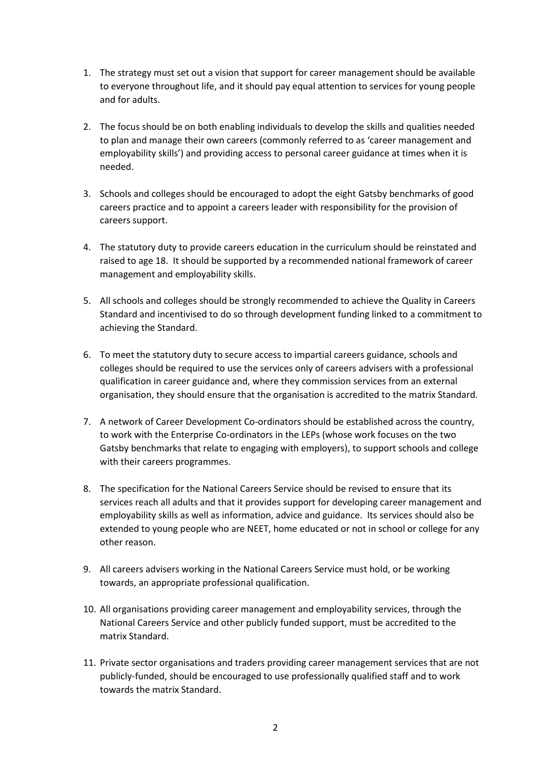- 1. The strategy must set out a vision that support for career management should be available to everyone throughout life, and it should pay equal attention to services for young people and for adults.
- 2. The focus should be on both enabling individuals to develop the skills and qualities needed to plan and manage their own careers (commonly referred to as 'career management and employability skills') and providing access to personal career guidance at times when it is needed.
- 3. Schools and colleges should be encouraged to adopt the eight Gatsby benchmarks of good careers practice and to appoint a careers leader with responsibility for the provision of careers support.
- 4. The statutory duty to provide careers education in the curriculum should be reinstated and raised to age 18. It should be supported by a recommended national framework of career management and employability skills.
- 5. All schools and colleges should be strongly recommended to achieve the Quality in Careers Standard and incentivised to do so through development funding linked to a commitment to achieving the Standard.
- 6. To meet the statutory duty to secure access to impartial careers guidance, schools and colleges should be required to use the services only of careers advisers with a professional qualification in career guidance and, where they commission services from an external organisation, they should ensure that the organisation is accredited to the matrix Standard.
- 7. A network of Career Development Co-ordinators should be established across the country, to work with the Enterprise Co-ordinators in the LEPs (whose work focuses on the two Gatsby benchmarks that relate to engaging with employers), to support schools and college with their careers programmes.
- 8. The specification for the National Careers Service should be revised to ensure that its services reach all adults and that it provides support for developing career management and employability skills as well as information, advice and guidance. Its services should also be extended to young people who are NEET, home educated or not in school or college for any other reason.
- 9. All careers advisers working in the National Careers Service must hold, or be working towards, an appropriate professional qualification.
- 10. All organisations providing career management and employability services, through the National Careers Service and other publicly funded support, must be accredited to the matrix Standard.
- 11. Private sector organisations and traders providing career management services that are not publicly-funded, should be encouraged to use professionally qualified staff and to work towards the matrix Standard.